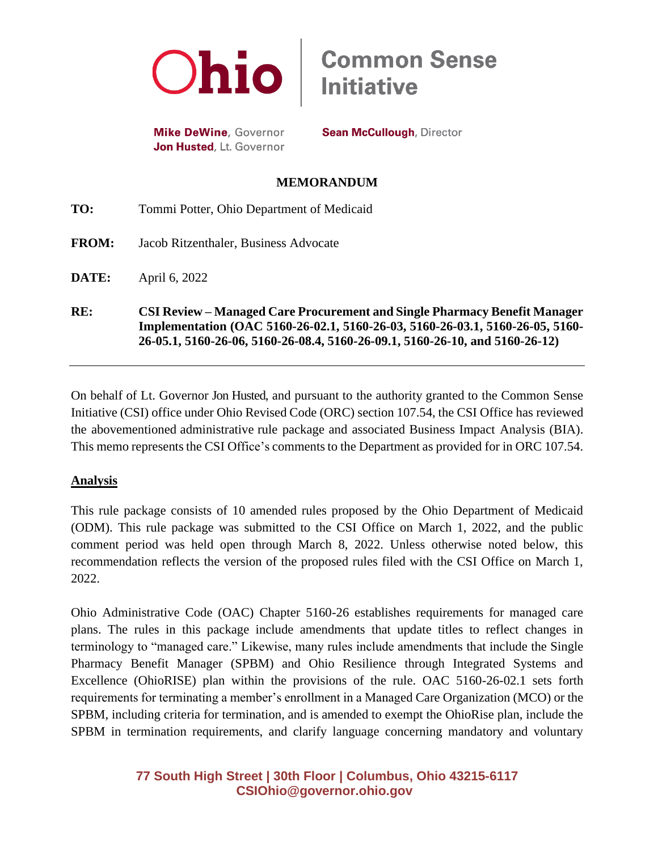

**Mike DeWine**, Governor Jon Husted, Lt. Governor **Sean McCullough, Director** 

#### **MEMORANDUM**

| RE:          | <b>CSI Review – Managed Care Procurement and Single Pharmacy Benefit Manager</b><br>Implementation (OAC 5160-26-02.1, 5160-26-03, 5160-26-03.1, 5160-26-05, 5160-<br>26-05.1, 5160-26-06, 5160-26-08.4, 5160-26-09.1, 5160-26-10, and 5160-26-12) |
|--------------|---------------------------------------------------------------------------------------------------------------------------------------------------------------------------------------------------------------------------------------------------|
| DATE:        | April 6, 2022                                                                                                                                                                                                                                     |
| <b>FROM:</b> | Jacob Ritzenthaler, Business Advocate                                                                                                                                                                                                             |
| TO:          | Tommi Potter, Ohio Department of Medicaid                                                                                                                                                                                                         |

On behalf of Lt. Governor Jon Husted, and pursuant to the authority granted to the Common Sense Initiative (CSI) office under Ohio Revised Code (ORC) section 107.54, the CSI Office has reviewed the abovementioned administrative rule package and associated Business Impact Analysis (BIA). This memo represents the CSI Office's comments to the Department as provided for in ORC 107.54.

#### **Analysis**

This rule package consists of 10 amended rules proposed by the Ohio Department of Medicaid (ODM). This rule package was submitted to the CSI Office on March 1, 2022, and the public comment period was held open through March 8, 2022. Unless otherwise noted below, this recommendation reflects the version of the proposed rules filed with the CSI Office on March 1, 2022.

Ohio Administrative Code (OAC) Chapter 5160-26 establishes requirements for managed care plans. The rules in this package include amendments that update titles to reflect changes in terminology to "managed care." Likewise, many rules include amendments that include the Single Pharmacy Benefit Manager (SPBM) and Ohio Resilience through Integrated Systems and Excellence (OhioRISE) plan within the provisions of the rule. OAC 5160-26-02.1 sets forth requirements for terminating a member's enrollment in a Managed Care Organization (MCO) or the SPBM, including criteria for termination, and is amended to exempt the OhioRise plan, include the SPBM in termination requirements, and clarify language concerning mandatory and voluntary

# **77 South High Street | 30th Floor | Columbus, Ohio 43215-6117 [CSIOhio@governor.ohio.gov](mailto:CSIOhio@governor.ohio.gov)**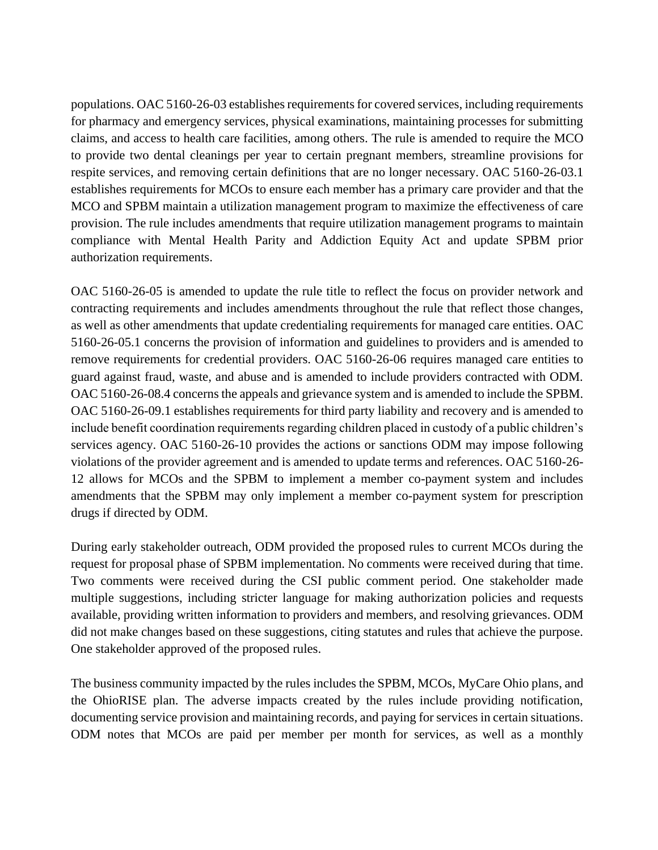populations. OAC 5160-26-03 establishes requirements for covered services, including requirements for pharmacy and emergency services, physical examinations, maintaining processes for submitting claims, and access to health care facilities, among others. The rule is amended to require the MCO to provide two dental cleanings per year to certain pregnant members, streamline provisions for respite services, and removing certain definitions that are no longer necessary. OAC 5160-26-03.1 establishes requirements for MCOs to ensure each member has a primary care provider and that the MCO and SPBM maintain a utilization management program to maximize the effectiveness of care provision. The rule includes amendments that require utilization management programs to maintain compliance with Mental Health Parity and Addiction Equity Act and update SPBM prior authorization requirements.

OAC 5160-26-05 is amended to update the rule title to reflect the focus on provider network and contracting requirements and includes amendments throughout the rule that reflect those changes, as well as other amendments that update credentialing requirements for managed care entities. OAC 5160-26-05.1 concerns the provision of information and guidelines to providers and is amended to remove requirements for credential providers. OAC 5160-26-06 requires managed care entities to guard against fraud, waste, and abuse and is amended to include providers contracted with ODM. OAC 5160-26-08.4 concerns the appeals and grievance system and is amended to include the SPBM. OAC 5160-26-09.1 establishes requirements for third party liability and recovery and is amended to include benefit coordination requirements regarding children placed in custody of a public children's services agency. OAC 5160-26-10 provides the actions or sanctions ODM may impose following violations of the provider agreement and is amended to update terms and references. OAC 5160-26- 12 allows for MCOs and the SPBM to implement a member co-payment system and includes amendments that the SPBM may only implement a member co-payment system for prescription drugs if directed by ODM.

During early stakeholder outreach, ODM provided the proposed rules to current MCOs during the request for proposal phase of SPBM implementation. No comments were received during that time. Two comments were received during the CSI public comment period. One stakeholder made multiple suggestions, including stricter language for making authorization policies and requests available, providing written information to providers and members, and resolving grievances. ODM did not make changes based on these suggestions, citing statutes and rules that achieve the purpose. One stakeholder approved of the proposed rules.

The business community impacted by the rules includes the SPBM, MCOs, MyCare Ohio plans, and the OhioRISE plan. The adverse impacts created by the rules include providing notification, documenting service provision and maintaining records, and paying for services in certain situations. ODM notes that MCOs are paid per member per month for services, as well as a monthly